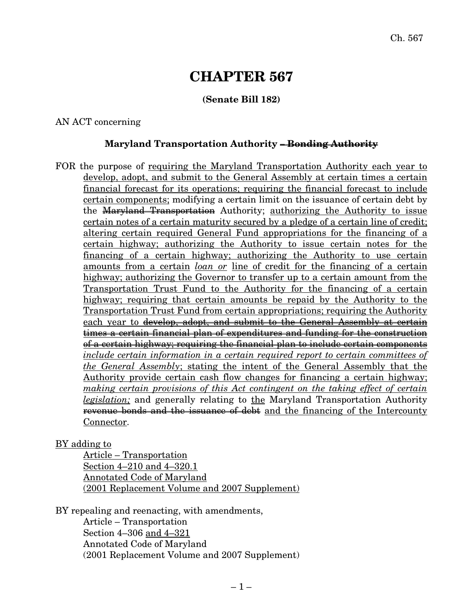# **CHAPTER 567**

#### **(Senate Bill 182)**

#### AN ACT concerning

#### **Maryland Transportation Authority – Bonding Authority**

FOR the purpose of requiring the Maryland Transportation Authority each year to develop, adopt, and submit to the General Assembly at certain times a certain financial forecast for its operations; requiring the financial forecast to include certain components; modifying a certain limit on the issuance of certain debt by the Maryland Transportation Authority; authorizing the Authority to issue certain notes of a certain maturity secured by a pledge of a certain line of credit; altering certain required General Fund appropriations for the financing of a certain highway; authorizing the Authority to issue certain notes for the financing of a certain highway; authorizing the Authority to use certain amounts from a certain *loan or* line of credit for the financing of a certain highway; authorizing the Governor to transfer up to a certain amount from the Transportation Trust Fund to the Authority for the financing of a certain highway; requiring that certain amounts be repaid by the Authority to the Transportation Trust Fund from certain appropriations; requiring the Authority each year to develop, adopt, and submit to the General Assembly at certain times a certain financial plan of expenditures and funding for the construction of a certain highway; requiring the financial plan to include certain components *include certain information in a certain required report to certain committees of the General Assembly*; stating the intent of the General Assembly that the Authority provide certain cash flow changes for financing a certain highway; *making certain provisions of this Act contingent on the taking effect of certain legislation;* and generally relating to the Maryland Transportation Authority revenue bonds and the issuance of debt and the financing of the Intercounty Connector.

BY adding to

Article – Transportation Section 4–210 and 4–320.1 Annotated Code of Maryland (2001 Replacement Volume and 2007 Supplement)

BY repealing and reenacting, with amendments, Article – Transportation Section 4–306 and 4–321 Annotated Code of Maryland (2001 Replacement Volume and 2007 Supplement)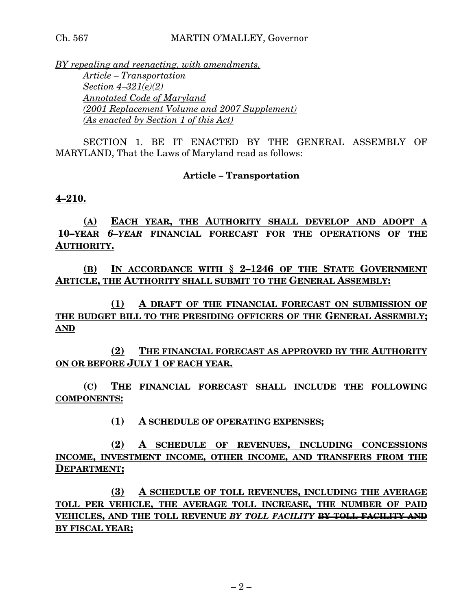*BY repealing and reenacting, with amendments, Article – Transportation Section 4–321(e)(2) Annotated Code of Maryland (2001 Replacement Volume and 2007 Supplement) (As enacted by Section 1 of this Act)*

SECTION 1. BE IT ENACTED BY THE GENERAL ASSEMBLY OF MARYLAND, That the Laws of Maryland read as follows:

#### **Article – Transportation**

**4–210.**

**(A) EACH YEAR, THE AUTHORITY SHALL DEVELOP AND ADOPT A 10–YEAR** *6–YEAR* **FINANCIAL FORECAST FOR THE OPERATIONS OF THE AUTHORITY.**

**(B) IN ACCORDANCE WITH § 2–1246 OF THE STATE GOVERNMENT ARTICLE, THE AUTHORITY SHALL SUBMIT TO THE GENERAL ASSEMBLY:**

**(1) A DRAFT OF THE FINANCIAL FORECAST ON SUBMISSION OF THE BUDGET BILL TO THE PRESIDING OFFICERS OF THE GENERAL ASSEMBLY; AND**

**(2) THE FINANCIAL FORECAST AS APPROVED BY THE AUTHORITY ON OR BEFORE JULY 1 OF EACH YEAR.**

**(C) THE FINANCIAL FORECAST SHALL INCLUDE THE FOLLOWING COMPONENTS:**

**(1) A SCHEDULE OF OPERATING EXPENSES;**

**(2) A SCHEDULE OF REVENUES, INCLUDING CONCESSIONS INCOME, INVESTMENT INCOME, OTHER INCOME, AND TRANSFERS FROM THE DEPARTMENT;**

**(3) A SCHEDULE OF TOLL REVENUES, INCLUDING THE AVERAGE TOLL PER VEHICLE, THE AVERAGE TOLL INCREASE, THE NUMBER OF PAID VEHICLES, AND THE TOLL REVENUE** *BY TOLL FACILITY* **BY TOLL FACILITY AND BY FISCAL YEAR;**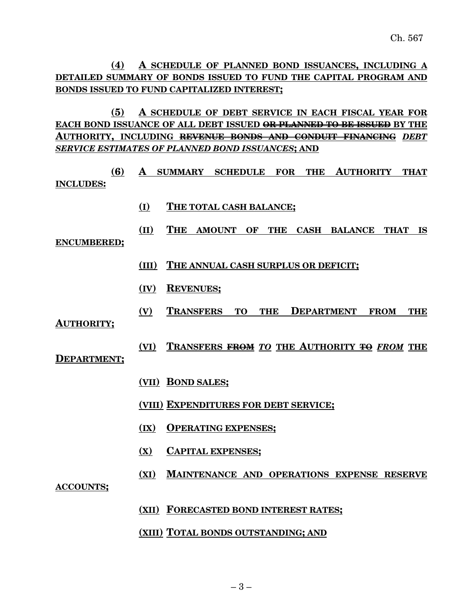**(4) A SCHEDULE OF PLANNED BOND ISSUANCES, INCLUDING A DETAILED SUMMARY OF BONDS ISSUED TO FUND THE CAPITAL PROGRAM AND BONDS ISSUED TO FUND CAPITALIZED INTEREST;**

**(5) A SCHEDULE OF DEBT SERVICE IN EACH FISCAL YEAR FOR EACH BOND ISSUANCE OF ALL DEBT ISSUED OR PLANNED TO BE ISSUED BY THE AUTHORITY, INCLUDING REVENUE BONDS AND CONDUIT FINANCING** *DEBT SERVICE ESTIMATES OF PLANNED BOND ISSUANCES***; AND**

**(6) A SUMMARY SCHEDULE FOR THE AUTHORITY THAT INCLUDES:**

- **(I) THE TOTAL CASH BALANCE;**
- **(II) THE AMOUNT OF THE CASH BALANCE THAT IS**

**ENCUMBERED;**

- **(III) THE ANNUAL CASH SURPLUS OR DEFICIT;**
- **(IV) REVENUES;**
- **(V) TRANSFERS TO THE DEPARTMENT FROM THE**

**AUTHORITY;**

- **(VI) TRANSFERS FROM** *TO* **THE AUTHORITY TO** *FROM* **THE**
- **DEPARTMENT;**
- **(VII) BOND SALES;**
- **(VIII) EXPENDITURES FOR DEBT SERVICE;**
- **(IX) OPERATING EXPENSES;**
- **(X) CAPITAL EXPENSES;**
- **(XI) MAINTENANCE AND OPERATIONS EXPENSE RESERVE**

**ACCOUNTS;**

- **(XII) FORECASTED BOND INTEREST RATES;**
- **(XIII) TOTAL BONDS OUTSTANDING; AND**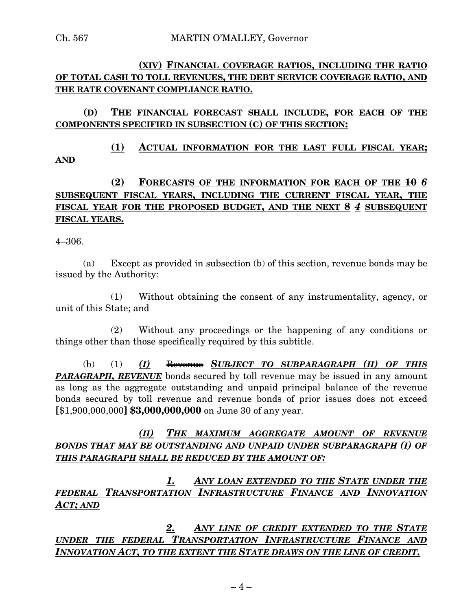# **(XIV) FINANCIAL COVERAGE RATIOS, INCLUDING THE RATIO OF TOTAL CASH TO TOLL REVENUES, THE DEBT SERVICE COVERAGE RATIO, AND THE RATE COVENANT COMPLIANCE RATIO.**

# **(D) THE FINANCIAL FORECAST SHALL INCLUDE, FOR EACH OF THE COMPONENTS SPECIFIED IN SUBSECTION (C) OF THIS SECTION:**

## **(1) ACTUAL INFORMATION FOR THE LAST FULL FISCAL YEAR; AND**

# **(2) FORECASTS OF THE INFORMATION FOR EACH OF THE 10** *6* **SUBSEQUENT FISCAL YEARS, INCLUDING THE CURRENT FISCAL YEAR, THE FISCAL YEAR FOR THE PROPOSED BUDGET, AND THE NEXT 8** *4* **SUBSEQUENT FISCAL YEARS.**

4–306.

(a) Except as provided in subsection (b) of this section, revenue bonds may be issued by the Authority:

(1) Without obtaining the consent of any instrumentality, agency, or unit of this State; and

(2) Without any proceedings or the happening of any conditions or things other than those specifically required by this subtitle.

(b) (1) *(I)* Revenue *SUBJECT TO SUBPARAGRAPH (II) OF THIS* **PARAGRAPH, REVENUE** bonds secured by toll revenue may be issued in any amount as long as the aggregate outstanding and unpaid principal balance of the revenue bonds secured by toll revenue and revenue bonds of prior issues does not exceed **[**\$1,900,000,000**] \$3,000,000,000** on June 30 of any year.

#### *(II) THE MAXIMUM AGGREGATE AMOUNT OF REVENUE BONDS THAT MAY BE OUTSTANDING AND UNPAID UNDER SUBPARAGRAPH (I) OF THIS PARAGRAPH SHALL BE REDUCED BY THE AMOUNT OF:*

# *1. ANY LOAN EXTENDED TO THE STATE UNDER THE FEDERAL TRANSPORTATION INFRASTRUCTURE FINANCE AND INNOVATION ACT; AND*

*2. ANY LINE OF CREDIT EXTENDED TO THE STATE UNDER THE FEDERAL TRANSPORTATION INFRASTRUCTURE FINANCE AND INNOVATION ACT, TO THE EXTENT THE STATE DRAWS ON THE LINE OF CREDIT.*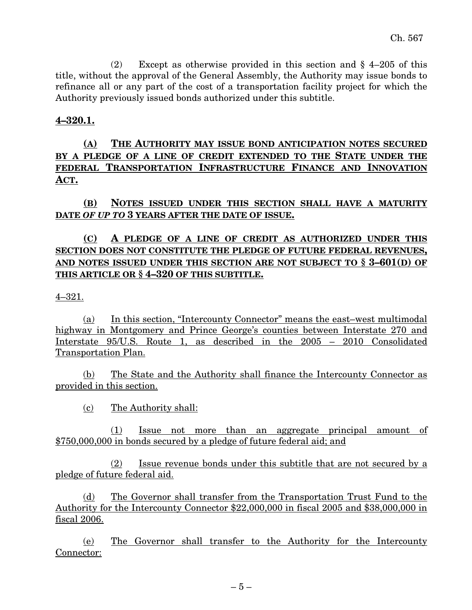(2) Except as otherwise provided in this section and  $\S$  4–205 of this title, without the approval of the General Assembly, the Authority may issue bonds to refinance all or any part of the cost of a transportation facility project for which the Authority previously issued bonds authorized under this subtitle.

#### **4–320.1.**

#### **(A) THE AUTHORITY MAY ISSUE BOND ANTICIPATION NOTES SECURED BY A PLEDGE OF A LINE OF CREDIT EXTENDED TO THE STATE UNDER THE FEDERAL TRANSPORTATION INFRASTRUCTURE FINANCE AND INNOVATION ACT.**

**(B) NOTES ISSUED UNDER THIS SECTION SHALL HAVE A MATURITY DATE** *OF UP TO* **3 YEARS AFTER THE DATE OF ISSUE.**

#### **(C) A PLEDGE OF A LINE OF CREDIT AS AUTHORIZED UNDER THIS SECTION DOES NOT CONSTITUTE THE PLEDGE OF FUTURE FEDERAL REVENUES, AND NOTES ISSUED UNDER THIS SECTION ARE NOT SUBJECT TO § 3–601(D) OF THIS ARTICLE OR § 4–320 OF THIS SUBTITLE.**

4–321.

(a) In this section, "Intercounty Connector" means the east–west multimodal highway in Montgomery and Prince George's counties between Interstate 270 and Interstate 95/U.S. Route 1, as described in the 2005 – 2010 Consolidated Transportation Plan.

(b) The State and the Authority shall finance the Intercounty Connector as provided in this section.

(c) The Authority shall:

(1) Issue not more than an aggregate principal amount of \$750,000,000 in bonds secured by a pledge of future federal aid; and

(2) Issue revenue bonds under this subtitle that are not secured by a pledge of future federal aid.

(d) The Governor shall transfer from the Transportation Trust Fund to the Authority for the Intercounty Connector \$22,000,000 in fiscal 2005 and \$38,000,000 in fiscal 2006.

(e) The Governor shall transfer to the Authority for the Intercounty Connector: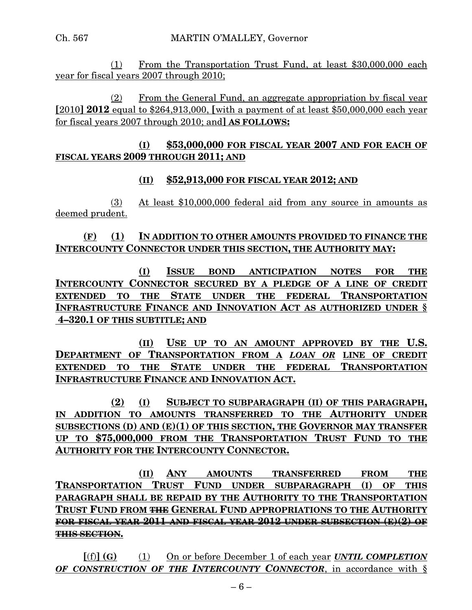(1) From the Transportation Trust Fund, at least \$30,000,000 each year for fiscal years 2007 through 2010;

(2) From the General Fund, an aggregate appropriation by fiscal year **[**2010**] 2012** equal to \$264,913,000, **[**with a payment of at least \$50,000,000 each year for fiscal years 2007 through 2010; and**] AS FOLLOWS:**

## **(I) \$53,000,000 FOR FISCAL YEAR 2007 AND FOR EACH OF FISCAL YEARS 2009 THROUGH 2011; AND**

#### **(II) \$52,913,000 FOR FISCAL YEAR 2012; AND**

(3) At least \$10,000,000 federal aid from any source in amounts as deemed prudent.

### **(F) (1) IN ADDITION TO OTHER AMOUNTS PROVIDED TO FINANCE THE INTERCOUNTY CONNECTOR UNDER THIS SECTION, THE AUTHORITY MAY:**

**(I) ISSUE BOND ANTICIPATION NOTES FOR THE INTERCOUNTY CONNECTOR SECURED BY A PLEDGE OF A LINE OF CREDIT EXTENDED TO THE STATE UNDER THE FEDERAL TRANSPORTATION INFRASTRUCTURE FINANCE AND INNOVATION ACT AS AUTHORIZED UNDER § 4–320.1 OF THIS SUBTITLE; AND**

**(II) USE UP TO AN AMOUNT APPROVED BY THE U.S. DEPARTMENT OF TRANSPORTATION FROM A** *LOAN OR* **LINE OF CREDIT EXTENDED TO THE STATE UNDER THE FEDERAL TRANSPORTATION INFRASTRUCTURE FINANCE AND INNOVATION ACT.**

**(2) (I) SUBJECT TO SUBPARAGRAPH (II) OF THIS PARAGRAPH, IN ADDITION TO AMOUNTS TRANSFERRED TO THE AUTHORITY UNDER SUBSECTIONS (D) AND (E)(1) OF THIS SECTION, THE GOVERNOR MAY TRANSFER UP TO \$75,000,000 FROM THE TRANSPORTATION TRUST FUND TO THE AUTHORITY FOR THE INTERCOUNTY CONNECTOR.**

**(II) ANY AMOUNTS TRANSFERRED FROM THE TRANSPORTATION TRUST FUND UNDER SUBPARAGRAPH (I) OF THIS PARAGRAPH SHALL BE REPAID BY THE AUTHORITY TO THE TRANSPORTATION TRUST FUND FROM THE GENERAL FUND APPROPRIATIONS TO THE AUTHORITY FOR FISCAL YEAR 2011 AND FISCAL YEAR 2012 UNDER SUBSECTION (E)(2) OF THIS SECTION.**

**[**(f)**] (G)** (1) On or before December 1 of each year *UNTIL COMPLETION OF CONSTRUCTION OF THE INTERCOUNTY CONNECTOR*, in accordance with §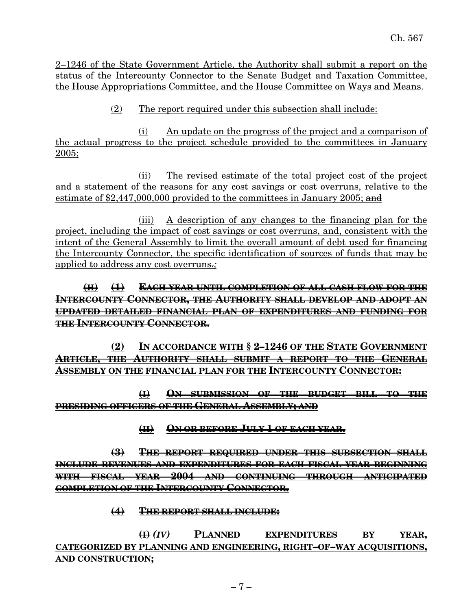2–1246 of the State Government Article, the Authority shall submit a report on the status of the Intercounty Connector to the Senate Budget and Taxation Committee, the House Appropriations Committee, and the House Committee on Ways and Means.

(2) The report required under this subsection shall include:

(i) An update on the progress of the project and a comparison of the actual progress to the project schedule provided to the committees in January 2005;

(ii) The revised estimate of the total project cost of the project and a statement of the reasons for any cost savings or cost overruns, relative to the estimate of  $$2,447,000,000$  provided to the committees in January 2005; and

(iii) A description of any changes to the financing plan for the project, including the impact of cost savings or cost overruns, and, consistent with the intent of the General Assembly to limit the overall amount of debt used for financing the Intercounty Connector, the specific identification of sources of funds that may be applied to address any cost overruns.*;*

**(H) (1) EACH YEAR UNTIL COMPLETION OF ALL CASH FLOW FOR THE INTERCOUNTY CONNECTOR, THE AUTHORITY SHALL DEVELOP AND ADOPT AN UPDATED DETAILED FINANCIAL PLAN OF EXPENDITURES AND FUNDING FOR THE INTERCOUNTY CONNECTOR.**

**(2) IN ACCORDANCE WITH § 2–1246 OF THE STATE GOVERNMENT ARTICLE, THE AUTHORITY SHALL SUBMIT A REPORT TO THE GENERAL ASSEMBLY ON THE FINANCIAL PLAN FOR THE INTERCOUNTY CONNECTOR:**

**(I) ON SUBMISSION OF THE BUDGET BILL TO THE PRESIDING OFFICERS OF THE GENERAL ASSEMBLY; AND**

# **(II) ON OR BEFORE JULY 1 OF EACH YEAR.**

**(3) THE REPORT REQUIRED UNDER THIS SUBSECTION SHALL INCLUDE REVENUES AND EXPENDITURES FOR EACH FISCAL YEAR BEGINNING WITH FISCAL YEAR 2004 AND CONTINUING THROUGH ANTICIPATED COMPLETION OF THE INTERCOUNTY CONNECTOR.**

#### **(4) THE REPORT SHALL INCLUDE:**

**(I)** *(IV)* **PLANNED EXPENDITURES BY YEAR, CATEGORIZED BY PLANNING AND ENGINEERING, RIGHT–OF–WAY ACQUISITIONS, AND CONSTRUCTION;**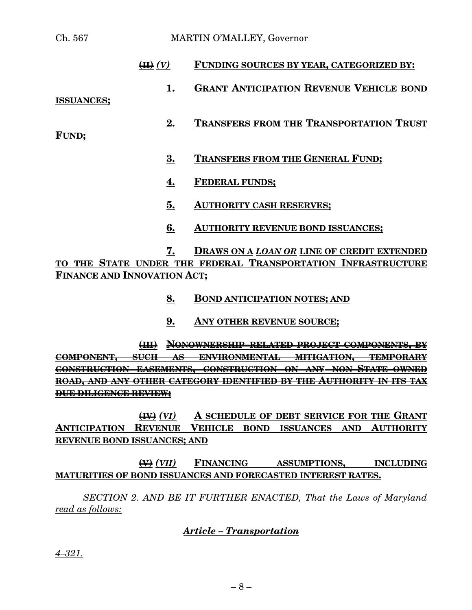Ch. 567 MARTIN O'MALLEY, Governor

#### **(II)** *(V)* **FUNDING SOURCES BY YEAR, CATEGORIZED BY:**

#### **1. GRANT ANTICIPATION REVENUE VEHICLE BOND**

#### **ISSUANCES;**

**FUND;**

- **2. TRANSFERS FROM THE TRANSPORTATION TRUST**
- **3. TRANSFERS FROM THE GENERAL FUND;**
- **4. FEDERAL FUNDS;**
- **5. AUTHORITY CASH RESERVES;**
- **6. AUTHORITY REVENUE BOND ISSUANCES;**

**7. DRAWS ON A** *LOAN OR* **LINE OF CREDIT EXTENDED TO THE STATE UNDER THE FEDERAL TRANSPORTATION INFRASTRUCTURE FINANCE AND INNOVATION ACT;**

- **8. BOND ANTICIPATION NOTES; AND**
- **9. ANY OTHER REVENUE SOURCE;**

**(III) NONOWNERSHIP–RELATED PROJECT COMPONENTS, BY COMPONENT, SUCH AS ENVIRONMENTAL MITIGATION, TEMPORARY CONSTRUCTION EASEMENTS, CONSTRUCTION ON ANY NON–STATE–OWNED ROAD, AND ANY OTHER CATEGORY IDENTIFIED BY THE AUTHORITY IN ITS TAX DUE DILIGENCE REVIEW;**

**(IV)** *(VI)* **A SCHEDULE OF DEBT SERVICE FOR THE GRANT ANTICIPATION REVENUE VEHICLE BOND ISSUANCES AND AUTHORITY REVENUE BOND ISSUANCES; AND**

**(V)** *(VII)* **FINANCING ASSUMPTIONS, INCLUDING MATURITIES OF BOND ISSUANCES AND FORECASTED INTEREST RATES.**

*SECTION 2. AND BE IT FURTHER ENACTED, That the Laws of Maryland read as follows:*

#### *Article – Transportation*

*4–321.*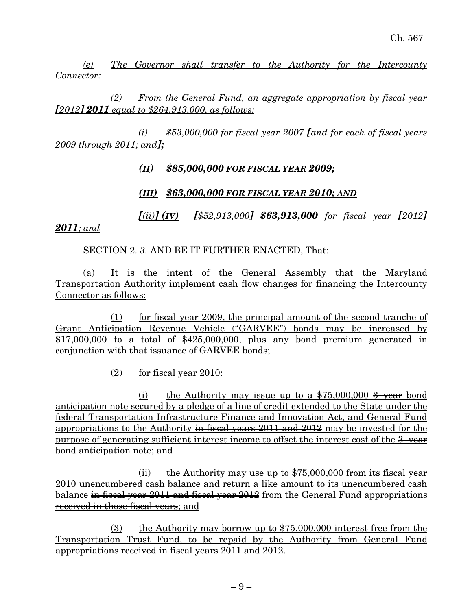*(e) The Governor shall transfer to the Authority for the Intercounty Connector:*

*(2) From the General Fund, an aggregate appropriation by fiscal year [2012] 2011 equal to \$264,913,000, as follows:*

*(i) \$53,000,000 for fiscal year 2007 [and for each of fiscal years 2009 through 2011; and];*

*(II) \$85,000,000 FOR FISCAL YEAR 2009;*

#### *(III) \$63,000,000 FOR FISCAL YEAR 2010; AND*

*[(ii)] (IV) [\$52,913,000] \$63,913,000 for fiscal year [2012] 2011; and*

SECTION 2. *3.* AND BE IT FURTHER ENACTED, That:

(a) It is the intent of the General Assembly that the Maryland Transportation Authority implement cash flow changes for financing the Intercounty Connector as follows:

(1) for fiscal year 2009, the principal amount of the second tranche of Grant Anticipation Revenue Vehicle ("GARVEE") bonds may be increased by \$17,000,000 to a total of \$425,000,000, plus any bond premium generated in conjunction with that issuance of GARVEE bonds;

(2) for fiscal year 2010:

(i) the Authority may issue up to a  $$75,000,000$   $\rightarrow$  vear bond anticipation note secured by a pledge of a line of credit extended to the State under the federal Transportation Infrastructure Finance and Innovation Act, and General Fund appropriations to the Authority in fiscal years 2011 and 2012 may be invested for the purpose of generating sufficient interest income to offset the interest cost of the  $\frac{3 - \text{year}}{2}$ bond anticipation note; and

(ii) the Authority may use up to \$75,000,000 from its fiscal year 2010 unencumbered cash balance and return a like amount to its unencumbered cash balance in fiscal year 2011 and fiscal year 2012 from the General Fund appropriations received in those fiscal years; and

(3) the Authority may borrow up to \$75,000,000 interest free from the Transportation Trust Fund, to be repaid by the Authority from General Fund appropriations received in fiscal years 2011 and 2012.